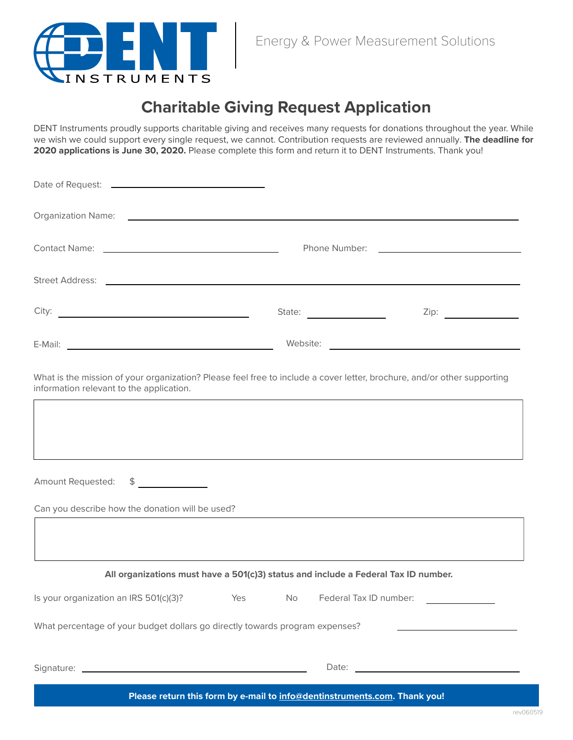

## **Charitable Giving Request Application**

DENT Instruments proudly supports charitable giving and receives many requests for donations throughout the year. While we wish we could support every single request, we cannot. Contribution requests are reviewed annually. **The deadline for 2020 applications is June 30, 2020.** Please complete this form and return it to DENT Instruments. Thank you!

| Organization Name: contract to the contract of the contract of the contract of the contract of the contract of                                                                                                                      |                             |
|-------------------------------------------------------------------------------------------------------------------------------------------------------------------------------------------------------------------------------------|-----------------------------|
|                                                                                                                                                                                                                                     |                             |
| Street Address: <u>Denversion of the state of the state of</u> the state of the state of the state of the state of the state of the state of the state of the state of the state of the state of the state of the state of the stat |                             |
|                                                                                                                                                                                                                                     | Zip: $\qquad \qquad \qquad$ |
| E-Mail: Latin Communication of the Communication of the Communication of the Communication of the Communication of the Communication of the Communication of the Communication of the Communication of the Communication of th      |                             |
| What is the mission of your organization? Please feel free to include a cover letter, brochure, and/or other supporting                                                                                                             |                             |

information relevant to the application.

 $\lceil$ 

| Amount Requested:<br>$\frac{1}{2}$                                                 |  |  |       |  |  |
|------------------------------------------------------------------------------------|--|--|-------|--|--|
| Can you describe how the donation will be used?                                    |  |  |       |  |  |
|                                                                                    |  |  |       |  |  |
| All organizations must have a 501(c)3) status and include a Federal Tax ID number. |  |  |       |  |  |
| Is your organization an IRS 501(c)(3)? Yes No Federal Tax ID number:               |  |  |       |  |  |
| What percentage of your budget dollars go directly towards program expenses?       |  |  |       |  |  |
| Signature:<br><u> 1989 - Johann Barn, mars eta bainar eta idazlea (</u>            |  |  | Date: |  |  |

**Please return this form by e-mail to [info@dentinstruments.com.](mailto:info%40dentinstruments.com?subject=Charitable%20Giving%20Request%20Application) Thank you!**